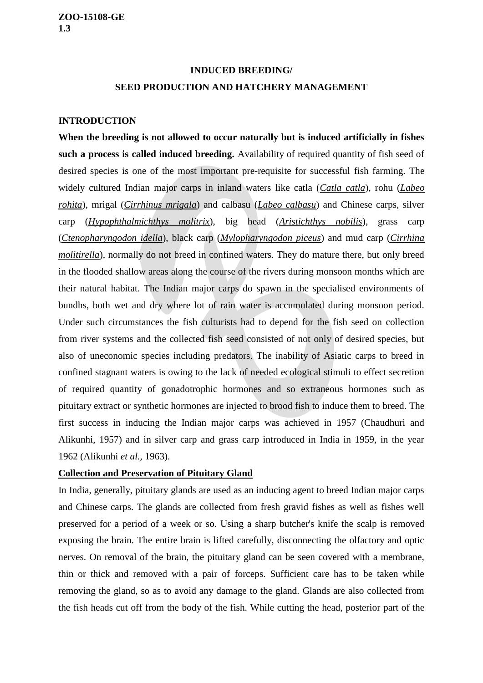# **INDUCED BREEDING/ SEED PRODUCTION AND HATCHERY MANAGEMENT**

# **INTRODUCTION**

**When the breeding is not allowed to occur naturally but is induced artificially in fishes such a process is called induced breeding.** Availability of required quantity of fish seed of desired species is one of the most important pre-requisite for successful fish farming. The widely cultured Indian major carps in inland waters like catla (*Catla catla*), rohu (*Labeo rohita*), mrigal (*Cirrhinus mrigala*) and calbasu (*Labeo calbasu*) and Chinese carps, silver carp (*Hypophthalmichthys molitrix*), big head (*Aristichthys nobilis*), grass carp (*Ctenopharyngodon idella*), black carp (*Mylopharyngodon piceus*) and mud carp (*Cirrhina molitirella*), normally do not breed in confined waters. They do mature there, but only breed in the flooded shallow areas along the course of the rivers during monsoon months which are their natural habitat. The Indian major carps do spawn in the specialised environments of bundhs, both wet and dry where lot of rain water is accumulated during monsoon period. Under such circumstances the fish culturists had to depend for the fish seed on collection from river systems and the collected fish seed consisted of not only of desired species, but also of uneconomic species including predators. The inability of Asiatic carps to breed in confined stagnant waters is owing to the lack of needed ecological stimuli to effect secretion of required quantity of gonadotrophic hormones and so extraneous hormones such as pituitary extract or synthetic hormones are injected to brood fish to induce them to breed. The first success in inducing the Indian major carps was achieved in 1957 (Chaudhuri and Alikunhi, 1957) and in silver carp and grass carp introduced in India in 1959, in the year 1962 (Alikunhi *et al.,* 1963).

#### **Collection and Preservation of Pituitary Gland**

In India, generally, pituitary glands are used as an inducing agent to breed Indian major carps and Chinese carps. The glands are collected from fresh gravid fishes as well as fishes well preserved for a period of a week or so. Using a sharp butcher's knife the scalp is removed exposing the brain. The entire brain is lifted carefully, disconnecting the olfactory and optic nerves. On removal of the brain, the pituitary gland can be seen covered with a membrane, thin or thick and removed with a pair of forceps. Sufficient care has to be taken while removing the gland, so as to avoid any damage to the gland. Glands are also collected from the fish heads cut off from the body of the fish. While cutting the head, posterior part of the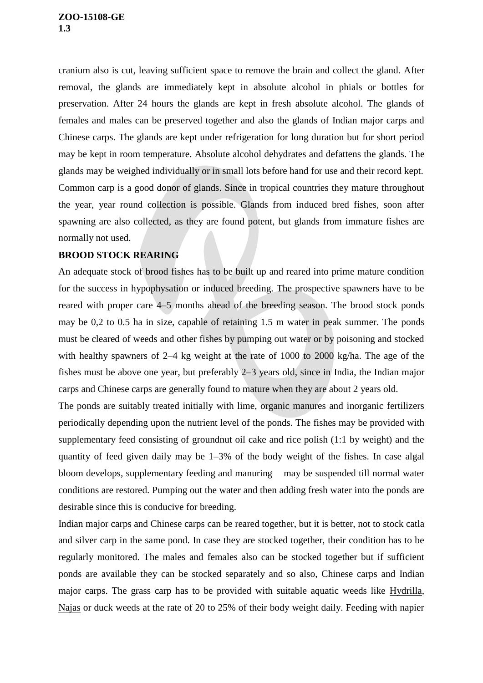cranium also is cut, leaving sufficient space to remove the brain and collect the gland. After removal, the glands are immediately kept in absolute alcohol in phials or bottles for preservation. After 24 hours the glands are kept in fresh absolute alcohol. The glands of females and males can be preserved together and also the glands of Indian major carps and Chinese carps. The glands are kept under refrigeration for long duration but for short period may be kept in room temperature. Absolute alcohol dehydrates and defattens the glands. The glands may be weighed individually or in small lots before hand for use and their record kept. Common carp is a good donor of glands. Since in tropical countries they mature throughout the year, year round collection is possible. Glands from induced bred fishes, soon after spawning are also collected, as they are found potent, but glands from immature fishes are normally not used.

# **BROOD STOCK REARING**

An adequate stock of brood fishes has to be built up and reared into prime mature condition for the success in hypophysation or induced breeding. The prospective spawners have to be reared with proper care 4–5 months ahead of the breeding season. The brood stock ponds may be 0,2 to 0.5 ha in size, capable of retaining 1.5 m water in peak summer. The ponds must be cleared of weeds and other fishes by pumping out water or by poisoning and stocked with healthy spawners of 2–4 kg weight at the rate of 1000 to 2000 kg/ha. The age of the fishes must be above one year, but preferably 2–3 years old, since in India, the Indian major carps and Chinese carps are generally found to mature when they are about 2 years old.

The ponds are suitably treated initially with lime, organic manures and inorganic fertilizers periodically depending upon the nutrient level of the ponds. The fishes may be provided with supplementary feed consisting of groundnut oil cake and rice polish (1:1 by weight) and the quantity of feed given daily may be 1–3% of the body weight of the fishes. In case algal bloom develops, supplementary feeding and manuring may be suspended till normal water conditions are restored. Pumping out the water and then adding fresh water into the ponds are desirable since this is conducive for breeding.

Indian major carps and Chinese carps can be reared together, but it is better, not to stock catla and silver carp in the same pond. In case they are stocked together, their condition has to be regularly monitored. The males and females also can be stocked together but if sufficient ponds are available they can be stocked separately and so also, Chinese carps and Indian major carps. The grass carp has to be provided with suitable aquatic weeds like Hydrilla, Najas or duck weeds at the rate of 20 to 25% of their body weight daily. Feeding with napier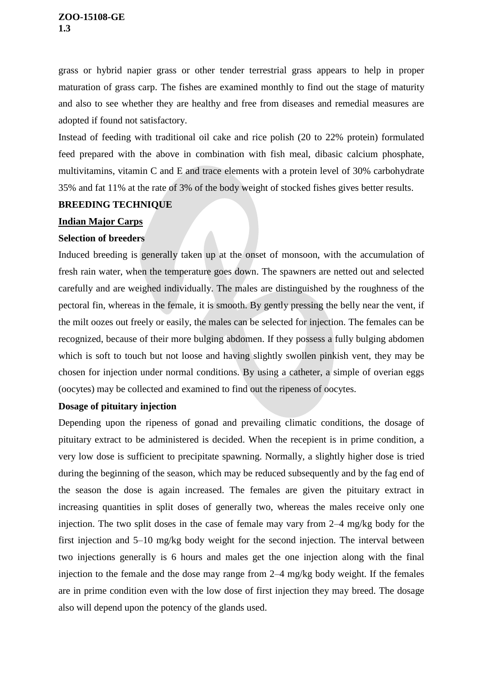## **ZOO-15108-GE 1.3**

grass or hybrid napier grass or other tender terrestrial grass appears to help in proper maturation of grass carp. The fishes are examined monthly to find out the stage of maturity and also to see whether they are healthy and free from diseases and remedial measures are adopted if found not satisfactory.

Instead of feeding with traditional oil cake and rice polish (20 to 22% protein) formulated feed prepared with the above in combination with fish meal, dibasic calcium phosphate, multivitamins, vitamin C and E and trace elements with a protein level of 30% carbohydrate 35% and fat 11% at the rate of 3% of the body weight of stocked fishes gives better results.

# **BREEDING TECHNIQUE**

## **Indian Major Carps**

# **Selection of breeders**

Induced breeding is generally taken up at the onset of monsoon, with the accumulation of fresh rain water, when the temperature goes down. The spawners are netted out and selected carefully and are weighed individually. The males are distinguished by the roughness of the pectoral fin, whereas in the female, it is smooth. By gently pressing the belly near the vent, if the milt oozes out freely or easily, the males can be selected for injection. The females can be recognized, because of their more bulging abdomen. If they possess a fully bulging abdomen which is soft to touch but not loose and having slightly swollen pinkish vent, they may be chosen for injection under normal conditions. By using a catheter, a simple of overian eggs (oocytes) may be collected and examined to find out the ripeness of oocytes.

# **Dosage of pituitary injection**

Depending upon the ripeness of gonad and prevailing climatic conditions, the dosage of pituitary extract to be administered is decided. When the recepient is in prime condition, a very low dose is sufficient to precipitate spawning. Normally, a slightly higher dose is tried during the beginning of the season, which may be reduced subsequently and by the fag end of the season the dose is again increased. The females are given the pituitary extract in increasing quantities in split doses of generally two, whereas the males receive only one injection. The two split doses in the case of female may vary from 2–4 mg/kg body for the first injection and 5–10 mg/kg body weight for the second injection. The interval between two injections generally is 6 hours and males get the one injection along with the final injection to the female and the dose may range from 2–4 mg/kg body weight. If the females are in prime condition even with the low dose of first injection they may breed. The dosage also will depend upon the potency of the glands used.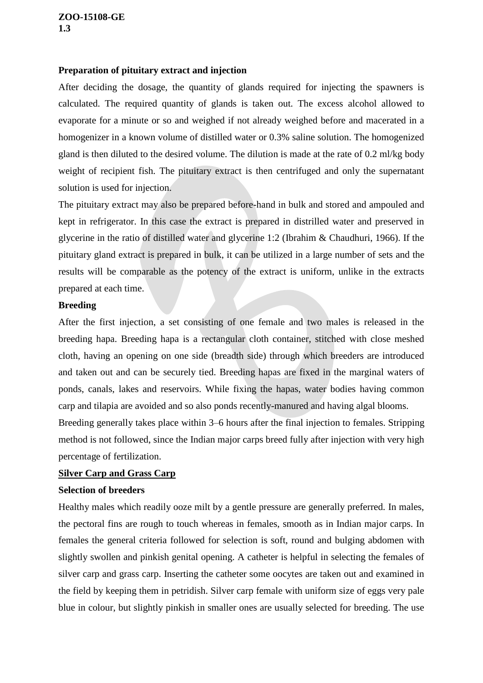#### **ZOO-15108-GE 1.3**

# **Preparation of pituitary extract and injection**

After deciding the dosage, the quantity of glands required for injecting the spawners is calculated. The required quantity of glands is taken out. The excess alcohol allowed to evaporate for a minute or so and weighed if not already weighed before and macerated in a homogenizer in a known volume of distilled water or 0.3% saline solution. The homogenized gland is then diluted to the desired volume. The dilution is made at the rate of 0.2 ml/kg body weight of recipient fish. The pituitary extract is then centrifuged and only the supernatant solution is used for injection.

The pituitary extract may also be prepared before-hand in bulk and stored and ampouled and kept in refrigerator. In this case the extract is prepared in distrilled water and preserved in glycerine in the ratio of distilled water and glycerine 1:2 (Ibrahim & Chaudhuri, 1966). If the pituitary gland extract is prepared in bulk, it can be utilized in a large number of sets and the results will be comparable as the potency of the extract is uniform, unlike in the extracts prepared at each time.

## **Breeding**

After the first injection, a set consisting of one female and two males is released in the breeding hapa. Breeding hapa is a rectangular cloth container, stitched with close meshed cloth, having an opening on one side (breadth side) through which breeders are introduced and taken out and can be securely tied. Breeding hapas are fixed in the marginal waters of ponds, canals, lakes and reservoirs. While fixing the hapas, water bodies having common carp and tilapia are avoided and so also ponds recently-manured and having algal blooms.

Breeding generally takes place within 3–6 hours after the final injection to females. Stripping method is not followed, since the Indian major carps breed fully after injection with very high percentage of fertilization.

# **Silver Carp and Grass Carp**

#### **Selection of breeders**

Healthy males which readily ooze milt by a gentle pressure are generally preferred. In males, the pectoral fins are rough to touch whereas in females, smooth as in Indian major carps. In females the general criteria followed for selection is soft, round and bulging abdomen with slightly swollen and pinkish genital opening. A catheter is helpful in selecting the females of silver carp and grass carp. Inserting the catheter some oocytes are taken out and examined in the field by keeping them in petridish. Silver carp female with uniform size of eggs very pale blue in colour, but slightly pinkish in smaller ones are usually selected for breeding. The use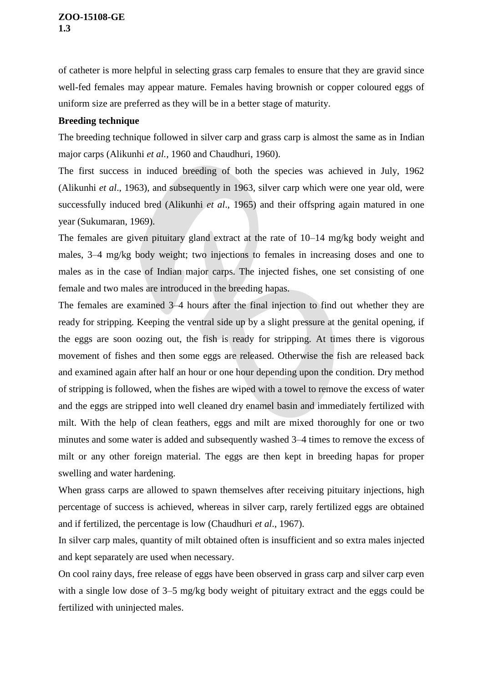of catheter is more helpful in selecting grass carp females to ensure that they are gravid since well-fed females may appear mature. Females having brownish or copper coloured eggs of uniform size are preferred as they will be in a better stage of maturity.

# **Breeding technique**

The breeding technique followed in silver carp and grass carp is almost the same as in Indian major carps (Alikunhi *et al.,* 1960 and Chaudhuri, 1960).

The first success in induced breeding of both the species was achieved in July, 1962 (Alikunhi *et al*., 1963), and subsequently in 1963, silver carp which were one year old, were successfully induced bred (Alikunhi *et al*., 1965) and their offspring again matured in one year (Sukumaran, 1969).

The females are given pituitary gland extract at the rate of 10–14 mg/kg body weight and males, 3–4 mg/kg body weight; two injections to females in increasing doses and one to males as in the case of Indian major carps. The injected fishes, one set consisting of one female and two males are introduced in the breeding hapas.

The females are examined 3–4 hours after the final injection to find out whether they are ready for stripping. Keeping the ventral side up by a slight pressure at the genital opening, if the eggs are soon oozing out, the fish is ready for stripping. At times there is vigorous movement of fishes and then some eggs are released. Otherwise the fish are released back and examined again after half an hour or one hour depending upon the condition. Dry method of stripping is followed, when the fishes are wiped with a towel to remove the excess of water and the eggs are stripped into well cleaned dry enamel basin and immediately fertilized with milt. With the help of clean feathers, eggs and milt are mixed thoroughly for one or two minutes and some water is added and subsequently washed 3–4 times to remove the excess of milt or any other foreign material. The eggs are then kept in breeding hapas for proper swelling and water hardening.

When grass carps are allowed to spawn themselves after receiving pituitary injections, high percentage of success is achieved, whereas in silver carp, rarely fertilized eggs are obtained and if fertilized, the percentage is low (Chaudhuri *et al*., 1967).

In silver carp males, quantity of milt obtained often is insufficient and so extra males injected and kept separately are used when necessary.

On cool rainy days, free release of eggs have been observed in grass carp and silver carp even with a single low dose of 3–5 mg/kg body weight of pituitary extract and the eggs could be fertilized with uninjected males.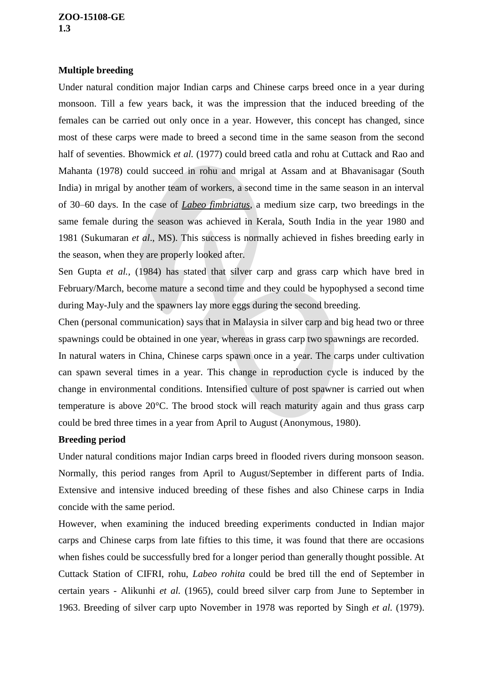# **Multiple breeding**

Under natural condition major Indian carps and Chinese carps breed once in a year during monsoon. Till a few years back, it was the impression that the induced breeding of the females can be carried out only once in a year. However, this concept has changed, since most of these carps were made to breed a second time in the same season from the second half of seventies. Bhowmick *et al.* (1977) could breed catla and rohu at Cuttack and Rao and Mahanta (1978) could succeed in rohu and mrigal at Assam and at Bhavanisagar (South India) in mrigal by another team of workers, a second time in the same season in an interval of 30–60 days. In the case of *Labeo fimbriatus*, a medium size carp, two breedings in the same female during the season was achieved in Kerala, South India in the year 1980 and 1981 (Sukumaran *et al*., MS). This success is normally achieved in fishes breeding early in the season, when they are properly looked after.

Sen Gupta *et al.,* (1984) has stated that silver carp and grass carp which have bred in February/March, become mature a second time and they could be hypophysed a second time during May-July and the spawners lay more eggs during the second breeding.

Chen (personal communication) says that in Malaysia in silver carp and big head two or three spawnings could be obtained in one year, whereas in grass carp two spawnings are recorded.

In natural waters in China, Chinese carps spawn once in a year. The carps under cultivation can spawn several times in a year. This change in reproduction cycle is induced by the change in environmental conditions. Intensified culture of post spawner is carried out when temperature is above 20°C. The brood stock will reach maturity again and thus grass carp could be bred three times in a year from April to August (Anonymous, 1980).

# **Breeding period**

Under natural conditions major Indian carps breed in flooded rivers during monsoon season. Normally, this period ranges from April to August/September in different parts of India. Extensive and intensive induced breeding of these fishes and also Chinese carps in India concide with the same period.

However, when examining the induced breeding experiments conducted in Indian major carps and Chinese carps from late fifties to this time, it was found that there are occasions when fishes could be successfully bred for a longer period than generally thought possible. At Cuttack Station of CIFRI, rohu, *Labeo rohita* could be bred till the end of September in certain years - Alikunhi *et al.* (1965), could breed silver carp from June to September in 1963. Breeding of silver carp upto November in 1978 was reported by Singh *et al.* (1979).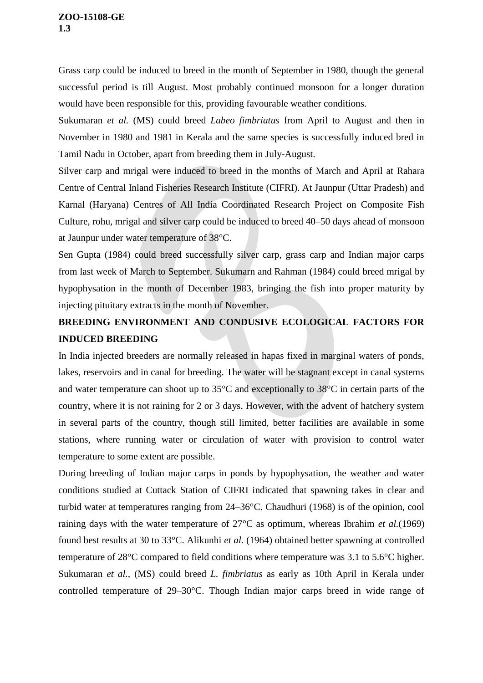Grass carp could be induced to breed in the month of September in 1980, though the general successful period is till August. Most probably continued monsoon for a longer duration would have been responsible for this, providing favourable weather conditions.

Sukumaran *et al.* (MS) could breed *Labeo fimbriatus* from April to August and then in November in 1980 and 1981 in Kerala and the same species is successfully induced bred in Tamil Nadu in October, apart from breeding them in July-August.

Silver carp and mrigal were induced to breed in the months of March and April at Rahara Centre of Central Inland Fisheries Research Institute (CIFRI). At Jaunpur (Uttar Pradesh) and Karnal (Haryana) Centres of All India Coordinated Research Project on Composite Fish Culture, rohu, mrigal and silver carp could be induced to breed 40–50 days ahead of monsoon at Jaunpur under water temperature of 38°C.

Sen Gupta (1984) could breed successfully silver carp, grass carp and Indian major carps from last week of March to September. Sukumarn and Rahman (1984) could breed mrigal by hypophysation in the month of December 1983, bringing the fish into proper maturity by injecting pituitary extracts in the month of November.

# **BREEDING ENVIRONMENT AND CONDUSIVE ECOLOGICAL FACTORS FOR INDUCED BREEDING**

In India injected breeders are normally released in hapas fixed in marginal waters of ponds, lakes, reservoirs and in canal for breeding. The water will be stagnant except in canal systems and water temperature can shoot up to 35°C and exceptionally to 38°C in certain parts of the country, where it is not raining for 2 or 3 days. However, with the advent of hatchery system in several parts of the country, though still limited, better facilities are available in some stations, where running water or circulation of water with provision to control water temperature to some extent are possible.

During breeding of Indian major carps in ponds by hypophysation, the weather and water conditions studied at Cuttack Station of CIFRI indicated that spawning takes in clear and turbid water at temperatures ranging from 24–36°C. Chaudhuri (1968) is of the opinion, cool raining days with the water temperature of 27°C as optimum, whereas Ibrahim *et al.*(1969) found best results at 30 to 33°C. Alikunhi *et al.* (1964) obtained better spawning at controlled temperature of 28°C compared to field conditions where temperature was 3.1 to 5.6°C higher. Sukumaran *et al.,* (MS) could breed *L. fimbriatus* as early as 10th April in Kerala under controlled temperature of 29–30°C. Though Indian major carps breed in wide range of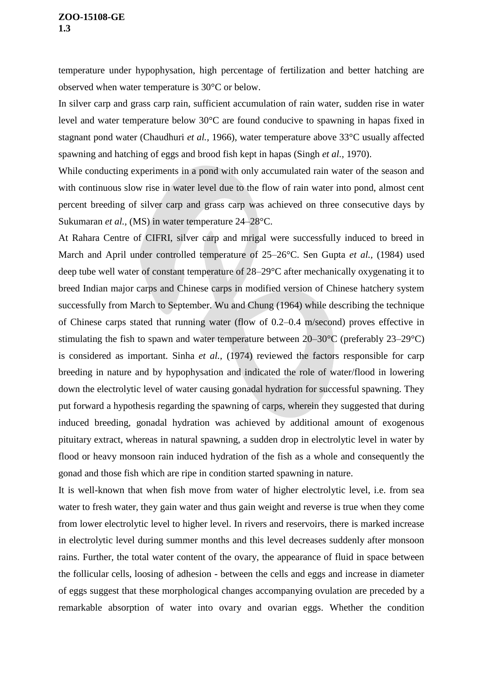temperature under hypophysation, high percentage of fertilization and better hatching are observed when water temperature is 30°C or below.

In silver carp and grass carp rain, sufficient accumulation of rain water, sudden rise in water level and water temperature below 30°C are found conducive to spawning in hapas fixed in stagnant pond water (Chaudhuri *et al.,* 1966), water temperature above 33°C usually affected spawning and hatching of eggs and brood fish kept in hapas (Singh *et al.,* 1970).

While conducting experiments in a pond with only accumulated rain water of the season and with continuous slow rise in water level due to the flow of rain water into pond, almost cent percent breeding of silver carp and grass carp was achieved on three consecutive days by Sukumaran *et al.,* (MS) in water temperature 24–28°C.

At Rahara Centre of CIFRI, silver carp and mrigal were successfully induced to breed in March and April under controlled temperature of 25–26°C. Sen Gupta *et al.,* (1984) used deep tube well water of constant temperature of 28–29°C after mechanically oxygenating it to breed Indian major carps and Chinese carps in modified version of Chinese hatchery system successfully from March to September. Wu and Chung (1964) while describing the technique of Chinese carps stated that running water (flow of 0.2–0.4 m/second) proves effective in stimulating the fish to spawn and water temperature between 20–30°C (preferably 23–29°C) is considered as important. Sinha *et al.,* (1974) reviewed the factors responsible for carp breeding in nature and by hypophysation and indicated the role of water/flood in lowering down the electrolytic level of water causing gonadal hydration for successful spawning. They put forward a hypothesis regarding the spawning of carps, wherein they suggested that during induced breeding, gonadal hydration was achieved by additional amount of exogenous pituitary extract, whereas in natural spawning, a sudden drop in electrolytic level in water by flood or heavy monsoon rain induced hydration of the fish as a whole and consequently the gonad and those fish which are ripe in condition started spawning in nature.

It is well-known that when fish move from water of higher electrolytic level, i.e. from sea water to fresh water, they gain water and thus gain weight and reverse is true when they come from lower electrolytic level to higher level. In rivers and reservoirs, there is marked increase in electrolytic level during summer months and this level decreases suddenly after monsoon rains. Further, the total water content of the ovary, the appearance of fluid in space between the follicular cells, loosing of adhesion - between the cells and eggs and increase in diameter of eggs suggest that these morphological changes accompanying ovulation are preceded by a remarkable absorption of water into ovary and ovarian eggs. Whether the condition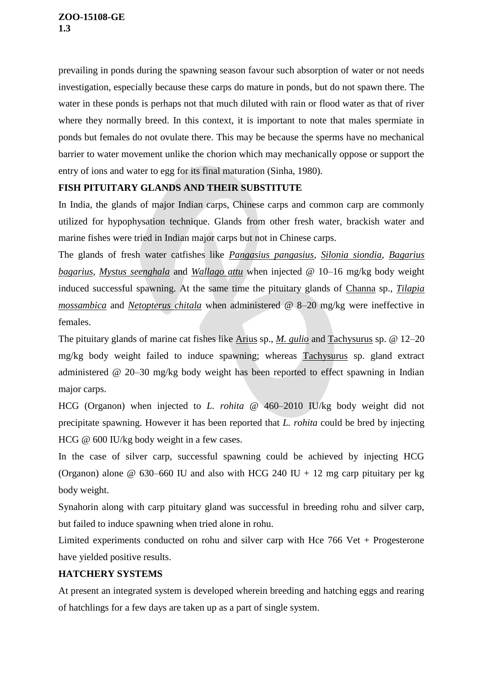prevailing in ponds during the spawning season favour such absorption of water or not needs investigation, especially because these carps do mature in ponds, but do not spawn there. The water in these ponds is perhaps not that much diluted with rain or flood water as that of river where they normally breed. In this context, it is important to note that males spermiate in ponds but females do not ovulate there. This may be because the sperms have no mechanical barrier to water movement unlike the chorion which may mechanically oppose or support the entry of ions and water to egg for its final maturation (Sinha, 1980).

# **FISH PITUITARY GLANDS AND THEIR SUBSTITUTE**

In India, the glands of major Indian carps, Chinese carps and common carp are commonly utilized for hypophysation technique. Glands from other fresh water, brackish water and marine fishes were tried in Indian major carps but not in Chinese carps.

The glands of fresh water catfishes like *Pangasius pangasius, Silonia siondia, Bagarius bagarius, Mystus seenghala* and *Wallago attu* when injected @ 10–16 mg/kg body weight induced successful spawning. At the same time the pituitary glands of Channa sp., *Tilapia mossambica* and *Netopterus chitala* when administered @ 8–20 mg/kg were ineffective in females.

The pituitary glands of marine cat fishes like Arius sp., *M. gulio* and Tachysurus sp. @ 12–20 mg/kg body weight failed to induce spawning; whereas Tachysurus sp. gland extract administered @ 20–30 mg/kg body weight has been reported to effect spawning in Indian major carps.

HCG (Organon) when injected to *L. rohita* @ 460–2010 IU/kg body weight did not precipitate spawning. However it has been reported that *L. rohita* could be bred by injecting HCG @ 600 IU/kg body weight in a few cases.

In the case of silver carp, successful spawning could be achieved by injecting HCG (Organon) alone  $\omega$  630–660 IU and also with HCG 240 IU + 12 mg carp pituitary per kg body weight.

Synahorin along with carp pituitary gland was successful in breeding rohu and silver carp, but failed to induce spawning when tried alone in rohu.

Limited experiments conducted on rohu and silver carp with Hce  $766$  Vet + Progesterone have yielded positive results.

## **HATCHERY SYSTEMS**

At present an integrated system is developed wherein breeding and hatching eggs and rearing of hatchlings for a few days are taken up as a part of single system.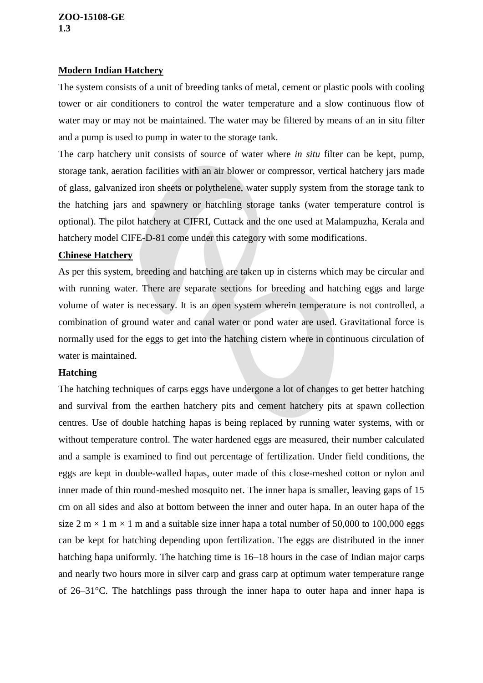## **ZOO-15108-GE 1.3**

## **Modern Indian Hatchery**

The system consists of a unit of breeding tanks of metal, cement or plastic pools with cooling tower or air conditioners to control the water temperature and a slow continuous flow of water may or may not be maintained. The water may be filtered by means of an in situ filter and a pump is used to pump in water to the storage tank.

The carp hatchery unit consists of source of water where *in situ* filter can be kept, pump, storage tank, aeration facilities with an air blower or compressor, vertical hatchery jars made of glass, galvanized iron sheets or polythelene, water supply system from the storage tank to the hatching jars and spawnery or hatchling storage tanks (water temperature control is optional). The pilot hatchery at CIFRI, Cuttack and the one used at Malampuzha, Kerala and hatchery model CIFE-D-81 come under this category with some modifications.

## **Chinese Hatchery**

As per this system, breeding and hatching are taken up in cisterns which may be circular and with running water. There are separate sections for breeding and hatching eggs and large volume of water is necessary. It is an open system wherein temperature is not controlled, a combination of ground water and canal water or pond water are used. Gravitational force is normally used for the eggs to get into the hatching cistern where in continuous circulation of water is maintained.

# **Hatching**

The hatching techniques of carps eggs have undergone a lot of changes to get better hatching and survival from the earthen hatchery pits and cement hatchery pits at spawn collection centres. Use of double hatching hapas is being replaced by running water systems, with or without temperature control. The water hardened eggs are measured, their number calculated and a sample is examined to find out percentage of fertilization. Under field conditions, the eggs are kept in double-walled hapas, outer made of this close-meshed cotton or nylon and inner made of thin round-meshed mosquito net. The inner hapa is smaller, leaving gaps of 15 cm on all sides and also at bottom between the inner and outer hapa. In an outer hapa of the size 2 m  $\times$  1 m  $\times$  1 m and a suitable size inner hapa a total number of 50,000 to 100,000 eggs can be kept for hatching depending upon fertilization. The eggs are distributed in the inner hatching hapa uniformly. The hatching time is 16–18 hours in the case of Indian major carps and nearly two hours more in silver carp and grass carp at optimum water temperature range of 26–31°C. The hatchlings pass through the inner hapa to outer hapa and inner hapa is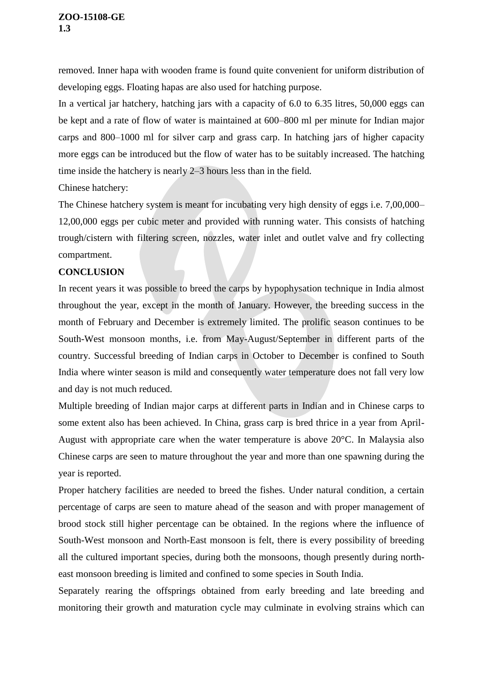removed. Inner hapa with wooden frame is found quite convenient for uniform distribution of developing eggs. Floating hapas are also used for hatching purpose.

In a vertical jar hatchery, hatching jars with a capacity of 6.0 to 6.35 litres, 50,000 eggs can be kept and a rate of flow of water is maintained at 600–800 ml per minute for Indian major carps and 800–1000 ml for silver carp and grass carp. In hatching jars of higher capacity more eggs can be introduced but the flow of water has to be suitably increased. The hatching time inside the hatchery is nearly 2–3 hours less than in the field.

Chinese hatchery:

The Chinese hatchery system is meant for incubating very high density of eggs i.e. 7,00,000– 12,00,000 eggs per cubic meter and provided with running water. This consists of hatching trough/cistern with filtering screen, nozzles, water inlet and outlet valve and fry collecting compartment.

## **CONCLUSION**

In recent years it was possible to breed the carps by hypophysation technique in India almost throughout the year, except in the month of January. However, the breeding success in the month of February and December is extremely limited. The prolific season continues to be South-West monsoon months, i.e. from May-August/September in different parts of the country. Successful breeding of Indian carps in October to December is confined to South India where winter season is mild and consequently water temperature does not fall very low and day is not much reduced.

Multiple breeding of Indian major carps at different parts in Indian and in Chinese carps to some extent also has been achieved. In China, grass carp is bred thrice in a year from April-August with appropriate care when the water temperature is above 20°C. In Malaysia also Chinese carps are seen to mature throughout the year and more than one spawning during the year is reported.

Proper hatchery facilities are needed to breed the fishes. Under natural condition, a certain percentage of carps are seen to mature ahead of the season and with proper management of brood stock still higher percentage can be obtained. In the regions where the influence of South-West monsoon and North-East monsoon is felt, there is every possibility of breeding all the cultured important species, during both the monsoons, though presently during northeast monsoon breeding is limited and confined to some species in South India.

Separately rearing the offsprings obtained from early breeding and late breeding and monitoring their growth and maturation cycle may culminate in evolving strains which can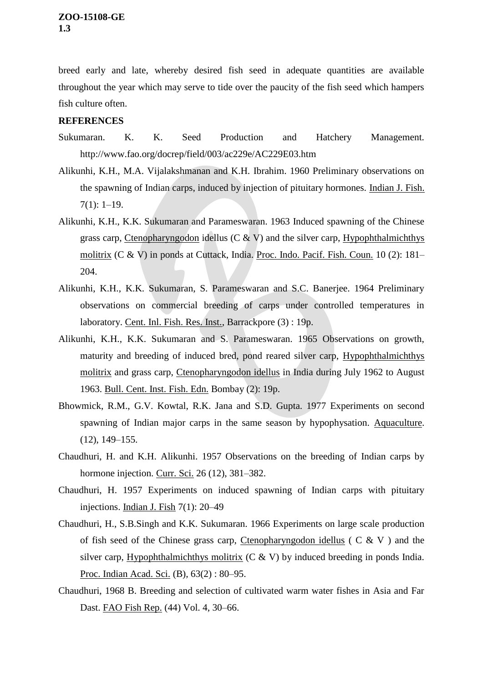breed early and late, whereby desired fish seed in adequate quantities are available throughout the year which may serve to tide over the paucity of the fish seed which hampers fish culture often.

## **REFERENCES**

- Sukumaran. K. K. Seed Production and Hatchery Management. http://www.fao.org/docrep/field/003/ac229e/AC229E03.htm
- Alikunhi, K.H., M.A. Vijalakshmanan and K.H. Ibrahim. 1960 Preliminary observations on the spawning of Indian carps, induced by injection of pituitary hormones. Indian J. Fish.  $7(1): 1-19.$
- Alikunhi, K.H., K.K. Sukumaran and Parameswaran. 1963 Induced spawning of the Chinese grass carp, Ctenopharyngodon idellus (C  $\&$  V) and the silver carp, Hypophthalmichthys molitrix (C & V) in ponds at Cuttack, India. Proc. Indo. Pacif. Fish. Coun. 10 (2): 181– 204.
- Alikunhi, K.H., K.K. Sukumaran, S. Parameswaran and S.C. Banerjee. 1964 Preliminary observations on commercial breeding of carps under controlled temperatures in laboratory. Cent. Inl. Fish. Res. Inst., Barrackpore (3) : 19p.
- Alikunhi, K.H., K.K. Sukumaran and S. Parameswaran. 1965 Observations on growth, maturity and breeding of induced bred, pond reared silver carp, Hypophthalmichthys molitrix and grass carp, Ctenopharyngodon idellus in India during July 1962 to August 1963. Bull. Cent. Inst. Fish. Edn. Bombay (2): 19p.
- Bhowmick, R.M., G.V. Kowtal, R.K. Jana and S.D. Gupta. 1977 Experiments on second spawning of Indian major carps in the same season by hypophysation. Aquaculture. (12), 149–155.
- Chaudhuri, H. and K.H. Alikunhi. 1957 Observations on the breeding of Indian carps by hormone injection. Curr. Sci. 26 (12), 381–382.
- Chaudhuri, H. 1957 Experiments on induced spawning of Indian carps with pituitary injections. Indian J. Fish 7(1): 20–49
- Chaudhuri, H., S.B.Singh and K.K. Sukumaran. 1966 Experiments on large scale production of fish seed of the Chinese grass carp, Ctenopharyngodon idellus ( C & V ) and the silver carp, Hypophthalmichthys molitrix  $(C \& V)$  by induced breeding in ponds India. Proc. Indian Acad. Sci. (B), 63(2): 80-95.
- Chaudhuri, 1968 B. Breeding and selection of cultivated warm water fishes in Asia and Far Dast. FAO Fish Rep. (44) Vol. 4, 30–66.